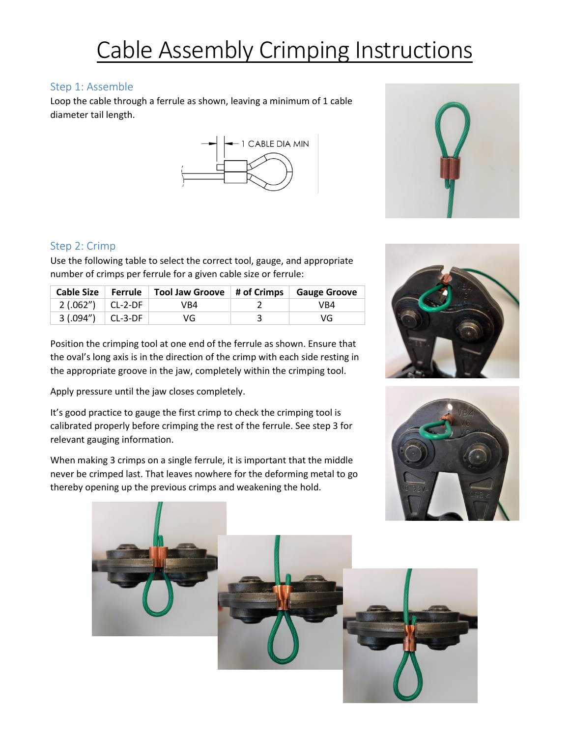## Cable Assembly Crimping Instructions

## Step 1: Assemble

Loop the cable through a ferrule as shown, leaving a minimum of 1 cable diameter tail length.





Use the following table to select the correct tool, gauge, and appropriate number of crimps per ferrule for a given cable size or ferrule:

|                       | Cable Size Ferrule Tool Jaw Groove   # of Crimps   Gauge Groove |     |
|-----------------------|-----------------------------------------------------------------|-----|
| $2(.062'')$ $CL-2-DF$ | VB4                                                             | VB4 |
| $3(.094'')$ CL-3-DF   | VG                                                              | VG  |

Position the crimping tool at one end of the ferrule as shown. Ensure that the oval's long axis is in the direction of the crimp with each side resting in the appropriate groove in the jaw, completely within the crimping tool.

Apply pressure until the jaw closes completely.

It's good practice to gauge the first crimp to check the crimping tool is calibrated properly before crimping the rest of the ferrule. See step 3 for relevant gauging information.

When making 3 crimps on a single ferrule, it is important that the middle never be crimped last. That leaves nowhere for the deforming metal to go thereby opening up the previous crimps and weakening the hold.